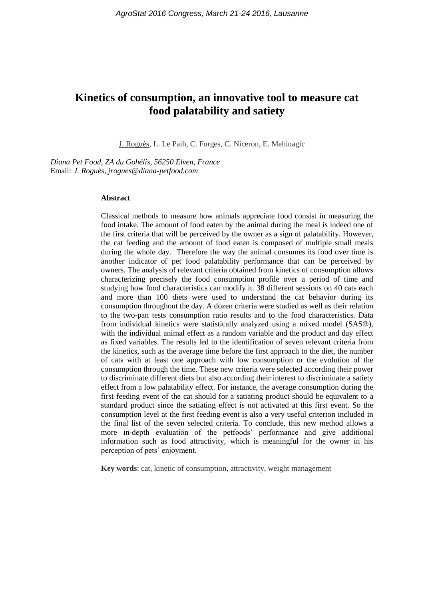# **Kinetics of consumption, an innovative tool to measure cat food palatability and satiety**

J. Roguès, L. Le Paih, C. Forges, C. Niceron, E. Mehinagic

*Diana Pet Food, ZA du Gohélis, 56250 Elven, France* Email*: J. Roguès, jrogues@diana-petfood.com*

#### **Abstract**

Classical methods to measure how animals appreciate food consist in measuring the food intake. The amount of food eaten by the animal during the meal is indeed one of the first criteria that will be perceived by the owner as a sign of palatability. However, the cat feeding and the amount of food eaten is composed of multiple small meals during the whole day. Therefore the way the animal consumes its food over time is another indicator of pet food palatability performance that can be perceived by owners. The analysis of relevant criteria obtained from kinetics of consumption allows characterizing precisely the food consumption profile over a period of time and studying how food characteristics can modify it. 38 different sessions on 40 cats each and more than 100 diets were used to understand the cat behavior during its consumption throughout the day. A dozen criteria were studied as well as their relation to the two-pan tests consumption ratio results and to the food characteristics. Data from individual kinetics were statistically analyzed using a mixed model (SAS®), with the individual animal effect as a random variable and the product and day effect as fixed variables. The results led to the identification of seven relevant criteria from the kinetics, such as the average time before the first approach to the diet, the number of cats with at least one approach with low consumption or the evolution of the consumption through the time. These new criteria were selected according their power to discriminate different diets but also according their interest to discriminate a satiety effect from a low palatability effect. For instance, the average consumption during the first feeding event of the cat should for a satiating product should be equivalent to a standard product since the satiating effect is not activated at this first event. So the consumption level at the first feeding event is also a very useful criterion included in the final list of the seven selected criteria. To conclude, this new method allows a more in-depth evaluation of the petfoods' performance and give additional information such as food attractivity, which is meaningful for the owner in his perception of pets' enjoyment.

**Key words**: cat, kinetic of consumption, attractivity, weight management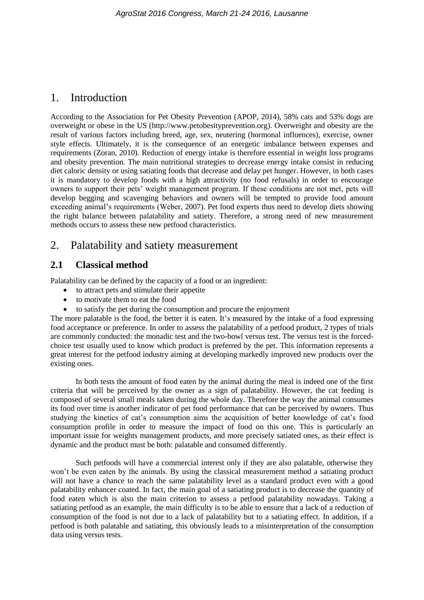## 1. Introduction

According to the Association for Pet Obesity Prevention (APOP, 2014), 58% cats and 53% dogs are overweight or obese in the US [\(http://www.petobesityprevention.org\)](http://www.petobesityprevention.org/). Overweight and obesity are the result of various factors including breed, age, sex, neutering (hormonal influences), exercise, owner style effects. Ultimately, it is the consequence of an energetic imbalance between expenses and requirements (Zoran, 2010). Reduction of energy intake is therefore essential in weight loss programs and obesity prevention. The main nutritional strategies to decrease energy intake consist in reducing diet caloric density or using satiating foods that decrease and delay pet hunger. However, in both cases it is mandatory to develop foods with a high attractivity (no food refusals) in order to encourage owners to support their pets' weight management program. If these conditions are not met, pets will develop begging and scavenging behaviors and owners will be tempted to provide food amount exceeding animal's requirements (Weber, 2007). Pet food experts thus need to develop diets showing the right balance between palatability and satiety. Therefore, a strong need of new measurement methods occurs to assess these new petfood characteristics.

# 2. Palatability and satiety measurement

### **2.1 Classical method**

Palatability can be defined by the capacity of a food or an ingredient:

- to attract pets and stimulate their appetite
- to motivate them to eat the food
- to satisfy the pet during the consumption and procure the enjoyment

The more palatable is the food, the better it is eaten. It's measured by the intake of a food expressing food acceptance or preference. In order to assess the palatability of a petfood product, 2 types of trials are commonly conducted: the monadic test and the two-bowl versus test. The versus test is the forcedchoice test usually used to know which product is preferred by the pet. This information represents a great interest for the petfood industry aiming at developing markedly improved new products over the existing ones.

In both tests the amount of food eaten by the animal during the meal is indeed one of the first criteria that will be perceived by the owner as a sign of palatability. However, the cat feeding is composed of several small meals taken during the whole day. Therefore the way the animal consumes its food over time is another indicator of pet food performance that can be perceived by owners. Thus studying the kinetics of cat's consumption aims the acquisition of better knowledge of cat's food consumption profile in order to measure the impact of food on this one. This is particularly an important issue for weights management products, and more precisely satiated ones, as their effect is dynamic and the product must be both: palatable and consumed differently.

Such petfoods will have a commercial interest only if they are also palatable, otherwise they won't be even eaten by the animals. By using the classical measurement method a satiating product will not have a chance to reach the same palatability level as a standard product even with a good palatability enhancer coated. In fact, the main goal of a satiating product is to decrease the quantity of food eaten which is also the main criterion to assess a petfood palatability nowadays. Taking a satiating petfood as an example, the main difficulty is to be able to ensure that a lack of a reduction of consumption of the food is not due to a lack of palatability but to a satiating effect. In addition, if a petfood is both palatable and satiating, this obviously leads to a misinterpretation of the consumption data using versus tests.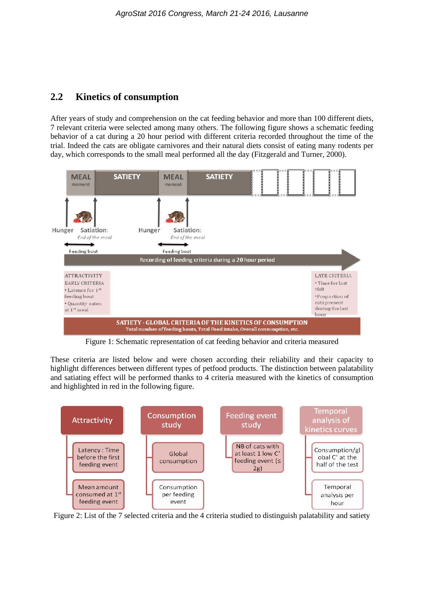## **2.2 Kinetics of consumption**

After years of study and comprehension on the cat feeding behavior and more than 100 different diets, 7 relevant criteria were selected among many others. The following figure shows a schematic feeding behavior of a cat during a 20 hour period with different criteria recorded throughout the time of the trial. Indeed the cats are obligate carnivores and their natural diets consist of eating many rodents per day, which corresponds to the small meal performed all the day (Fitzgerald and Turner, 2000).



Figure 1: Schematic representation of cat feeding behavior and criteria measured

These criteria are listed below and were chosen according their reliability and their capacity to highlight differences between different types of petfood products. The distinction between palatability and satiating effect will be performed thanks to 4 criteria measured with the kinetics of consumption and highlighted in red in the following figure.



Figure 2: List of the 7 selected criteria and the 4 criteria studied to distinguish palatability and satiety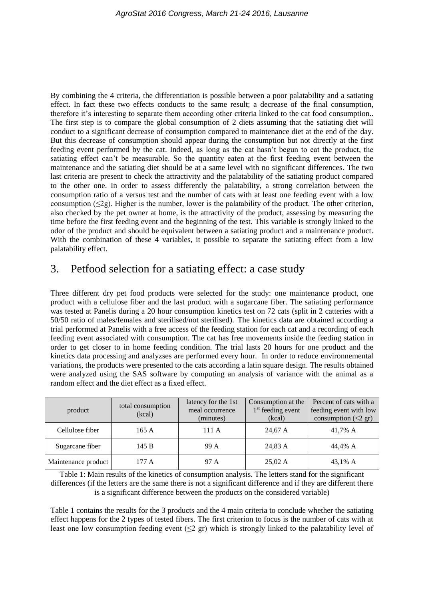By combining the 4 criteria, the differentiation is possible between a poor palatability and a satiating effect. In fact these two effects conducts to the same result; a decrease of the final consumption, therefore it's interesting to separate them according other criteria linked to the cat food consumption.. The first step is to compare the global consumption of 2 diets assuming that the satiating diet will conduct to a significant decrease of consumption compared to maintenance diet at the end of the day. But this decrease of consumption should appear during the consumption but not directly at the first feeding event performed by the cat. Indeed, as long as the cat hasn't begun to eat the product, the satiating effect can't be measurable. So the quantity eaten at the first feeding event between the maintenance and the satiating diet should be at a same level with no significant differences. The two last criteria are present to check the attractivity and the palatability of the satiating product compared to the other one. In order to assess differently the palatability, a strong correlation between the consumption ratio of a versus test and the number of cats with at least one feeding event with a low consumption  $(\leq 2g)$ . Higher is the number, lower is the palatability of the product. The other criterion, also checked by the pet owner at home, is the attractivity of the product, assessing by measuring the time before the first feeding event and the beginning of the test. This variable is strongly linked to the odor of the product and should be equivalent between a satiating product and a maintenance product. With the combination of these 4 variables, it possible to separate the satiating effect from a low palatability effect.

# 3. Petfood selection for a satiating effect: a case study

Three different dry pet food products were selected for the study: one maintenance product, one product with a cellulose fiber and the last product with a sugarcane fiber. The satiating performance was tested at Panelis during a 20 hour consumption kinetics test on 72 cats (split in 2 catteries with a 50/50 ratio of males/females and sterilised/not sterilised). The kinetics data are obtained according a trial performed at Panelis with a free access of the feeding station for each cat and a recording of each feeding event associated with consumption. The cat has free movements inside the feeding station in order to get closer to in home feeding condition. The trial lasts 20 hours for one product and the kinetics data processing and analyzses are performed every hour. In order to reduce environnemental variations, the products were presented to the cats according a latin square design. The results obtained were analyzed using the SAS software by computing an analysis of variance with the animal as a random effect and the diet effect as a fixed effect.

| product             | total consumption<br>(kcal) | latency for the 1st<br>meal occurrence<br>(minutes) | Consumption at the<br>$1st$ feeding event<br>(kcal) | Percent of cats with a<br>feeding event with low<br>consumption $(<2 \text{ gr})$ |
|---------------------|-----------------------------|-----------------------------------------------------|-----------------------------------------------------|-----------------------------------------------------------------------------------|
| Cellulose fiber     | 165 A                       | 111 A                                               | 24,67 A                                             | 41.7% A                                                                           |
| Sugarcane fiber     | 145 B                       | 99 A                                                | 24,83 A                                             | 44.4% A                                                                           |
| Maintenance product | 177 A                       | 97 A                                                | $25,02 \text{ A}$                                   | 43,1% A                                                                           |

Table 1: Main results of the kinetics of consumption analysis. The letters stand for the significant differences (if the letters are the same there is not a significant difference and if they are different there is a significant difference between the products on the considered variable)

Table 1 contains the results for the 3 products and the 4 main criteria to conclude whether the satiating effect happens for the 2 types of tested fibers. The first criterion to focus is the number of cats with at least one low consumption feeding event  $(\leq 2 \text{ gr})$  which is strongly linked to the palatability level of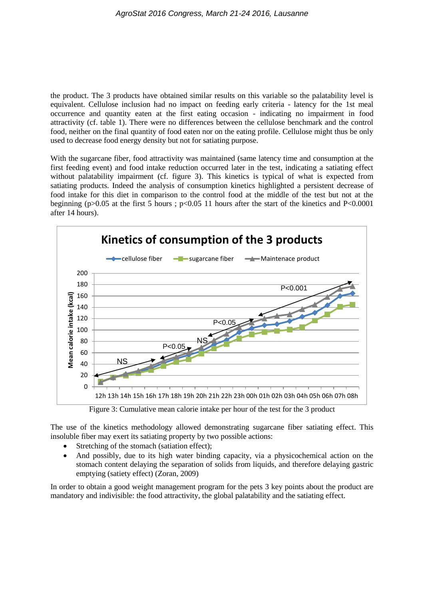the product. The 3 products have obtained similar results on this variable so the palatability level is equivalent. Cellulose inclusion had no impact on feeding early criteria - latency for the 1st meal occurrence and quantity eaten at the first eating occasion - indicating no impairment in food attractivity (cf. table 1). There were no differences between the cellulose benchmark and the control food, neither on the final quantity of food eaten nor on the eating profile. Cellulose might thus be only used to decrease food energy density but not for satiating purpose.

With the sugarcane fiber, food attractivity was maintained (same latency time and consumption at the first feeding event) and food intake reduction occurred later in the test, indicating a satiating effect without palatability impairment (cf. figure 3). This kinetics is typical of what is expected from satiating products. Indeed the analysis of consumption kinetics highlighted a persistent decrease of food intake for this diet in comparison to the control food at the middle of the test but not at the beginning (p $>0.05$  at the first 5 hours ; p $< 0.05$  11 hours after the start of the kinetics and P $< 0.0001$ after 14 hours).



Figure 3: Cumulative mean calorie intake per hour of the test for the 3 product

The use of the kinetics methodology allowed demonstrating sugarcane fiber satiating effect. This insoluble fiber may exert its satiating property by two possible actions:

- Stretching of the stomach (satiation effect):
- And possibly, due to its high water binding capacity, via a physicochemical action on the stomach content delaying the separation of solids from liquids, and therefore delaying gastric emptying (satiety effect) (Zoran, 2009)

In order to obtain a good weight management program for the pets 3 key points about the product are mandatory and indivisible: the food attractivity, the global palatability and the satiating effect.